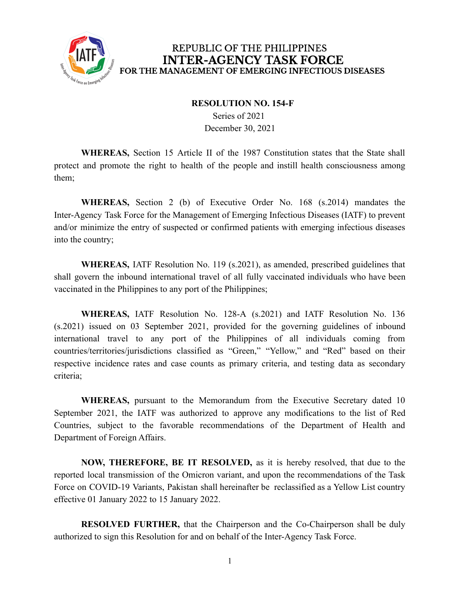

## REPUBLIC OF THE PHILIPPINES **INTER-AGENCY TASK FORCE** FOR THE MANAGEMENT OF EMERGING INFECTIOUS DISEASES

## **RESOLUTION NO. 154-F**

Series of 2021 December 30, 2021

**WHEREAS,** Section 15 Article II of the 1987 Constitution states that the State shall protect and promote the right to health of the people and instill health consciousness among them;

**WHEREAS,** Section 2 (b) of Executive Order No. 168 (s.2014) mandates the Inter-Agency Task Force for the Management of Emerging Infectious Diseases (IATF) to prevent and/or minimize the entry of suspected or confirmed patients with emerging infectious diseases into the country;

**WHEREAS,** IATF Resolution No. 119 (s.2021), as amended, prescribed guidelines that shall govern the inbound international travel of all fully vaccinated individuals who have been vaccinated in the Philippines to any port of the Philippines;

**WHEREAS,** IATF Resolution No. 128-A (s.2021) and IATF Resolution No. 136 (s.2021) issued on 03 September 2021, provided for the governing guidelines of inbound international travel to any port of the Philippines of all individuals coming from countries/territories/jurisdictions classified as "Green," "Yellow," and "Red" based on their respective incidence rates and case counts as primary criteria, and testing data as secondary criteria;

**WHEREAS,** pursuant to the Memorandum from the Executive Secretary dated 10 September 2021, the IATF was authorized to approve any modifications to the list of Red Countries, subject to the favorable recommendations of the Department of Health and Department of Foreign Affairs.

**NOW, THEREFORE, BE IT RESOLVED,** as it is hereby resolved, that due to the reported local transmission of the Omicron variant, and upon the recommendations of the Task Force on COVID-19 Variants, Pakistan shall hereinafter be reclassified as a Yellow List country effective 01 January 2022 to 15 January 2022.

**RESOLVED FURTHER,** that the Chairperson and the Co-Chairperson shall be duly authorized to sign this Resolution for and on behalf of the Inter-Agency Task Force.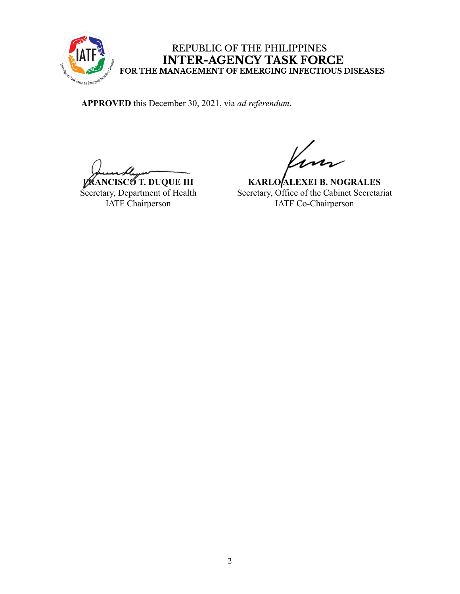

## REPUBLIC OF THE PHILIPPINES INTER-AGENCY TASK FORCE<br>FOR THE MANAGEMENT OF EMERGING INFECTIOUS DISEASES

**APPROVED** this December 30, 2021, via *ad referendum***.**

**FRANCISCO T. DUQUE III** Secretary, Department of Health IATF Chairperson

**KARLO ALEXEI B. NOGRALES** Secretary, Office of the Cabinet Secretariat IATF Co-Chairperson